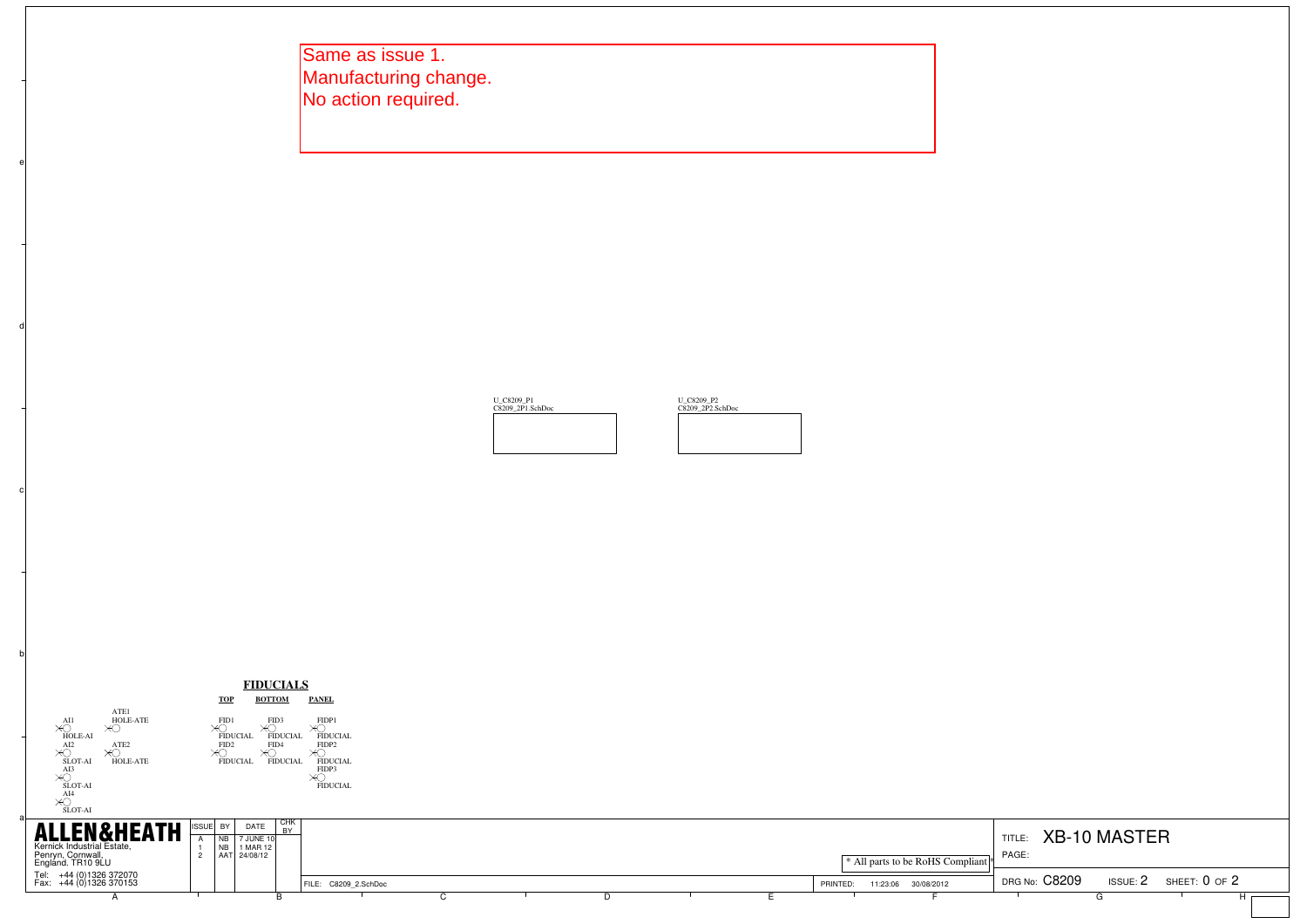Same as issue 1. Manufacturing change. No action required.

b

c

d





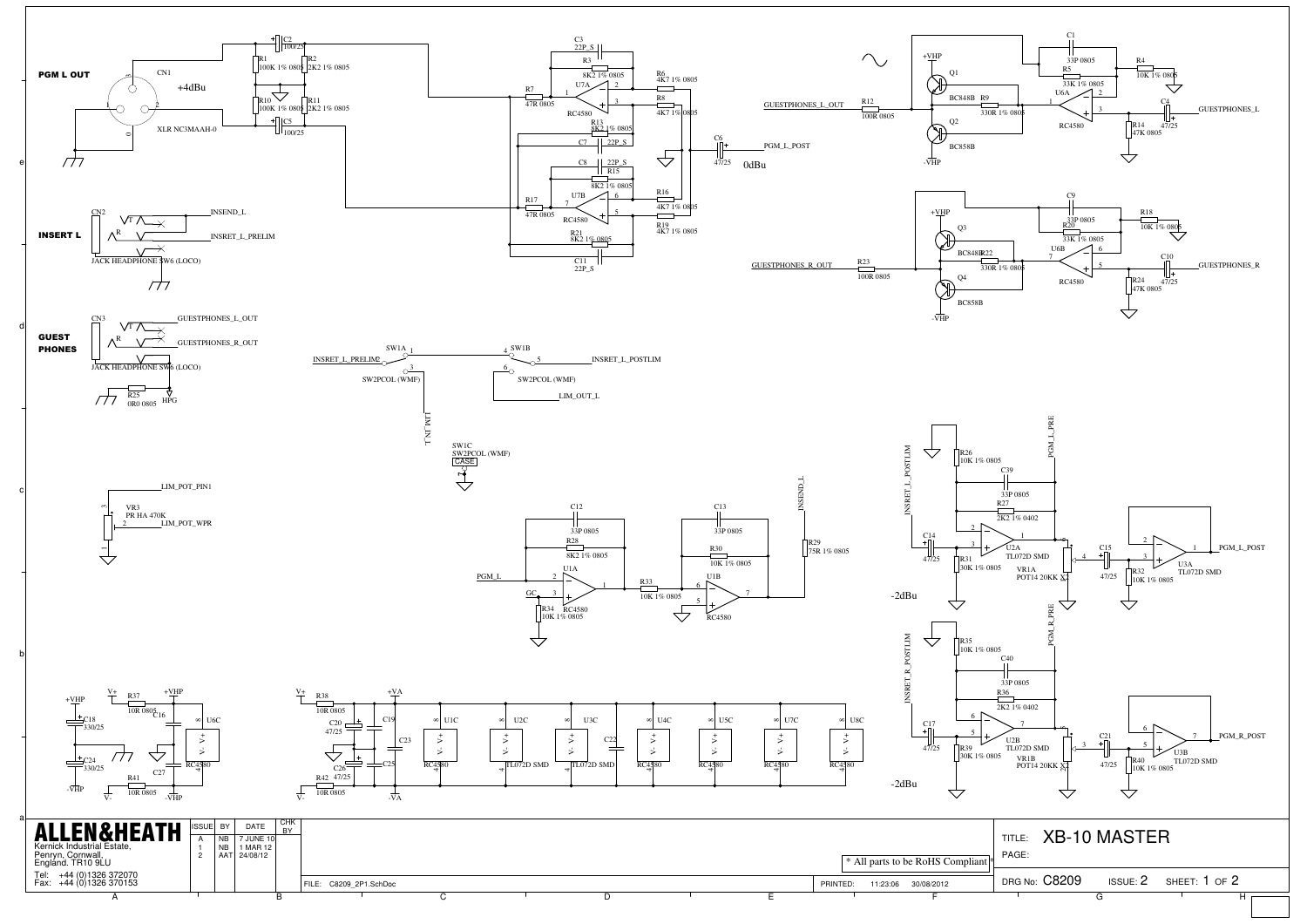